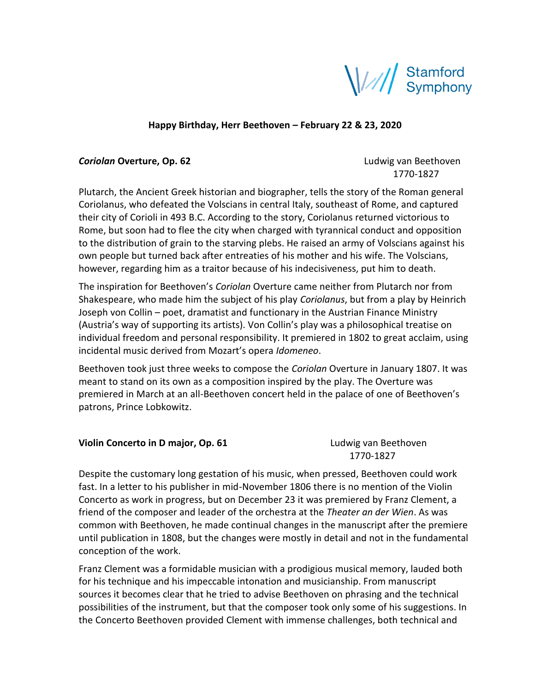

## **Happy Birthday, Herr Beethoven – February 22 & 23, 2020**

## **Coriolan Overture, Op. 62 Coriolan** *Coriolan* **Deethoven**

1770-1827

Plutarch, the Ancient Greek historian and biographer, tells the story of the Roman general Coriolanus, who defeated the Volscians in central Italy, southeast of Rome, and captured their city of Corioli in 493 B.C. According to the story, Coriolanus returned victorious to Rome, but soon had to flee the city when charged with tyrannical conduct and opposition to the distribution of grain to the starving plebs. He raised an army of Volscians against his own people but turned back after entreaties of his mother and his wife. The Volscians, however, regarding him as a traitor because of his indecisiveness, put him to death.

The inspiration for Beethoven's *Coriolan* Overture came neither from Plutarch nor from Shakespeare, who made him the subject of his play *Coriolanus*, but from a play by Heinrich Joseph von Collin – poet, dramatist and functionary in the Austrian Finance Ministry (Austria's way of supporting its artists). Von Collin's play was a philosophical treatise on individual freedom and personal responsibility. It premiered in 1802 to great acclaim, using incidental music derived from Mozart's opera *Idomeneo*.

Beethoven took just three weeks to compose the *Coriolan* Overture in January 1807. It was meant to stand on its own as a composition inspired by the play. The Overture was premiered in March at an all-Beethoven concert held in the palace of one of Beethoven's patrons, Prince Lobkowitz.

| Violin Concerto in D major, Op. 61 | Ludwig van Beethoven |
|------------------------------------|----------------------|
|                                    | 1770-1827            |

Despite the customary long gestation of his music, when pressed, Beethoven could work fast. In a letter to his publisher in mid-November 1806 there is no mention of the Violin Concerto as work in progress, but on December 23 it was premiered by Franz Clement, a friend of the composer and leader of the orchestra at the *Theater an der Wien*. As was common with Beethoven, he made continual changes in the manuscript after the premiere until publication in 1808, but the changes were mostly in detail and not in the fundamental conception of the work.

Franz Clement was a formidable musician with a prodigious musical memory, lauded both for his technique and his impeccable intonation and musicianship. From manuscript sources it becomes clear that he tried to advise Beethoven on phrasing and the technical possibilities of the instrument, but that the composer took only some of his suggestions. In the Concerto Beethoven provided Clement with immense challenges, both technical and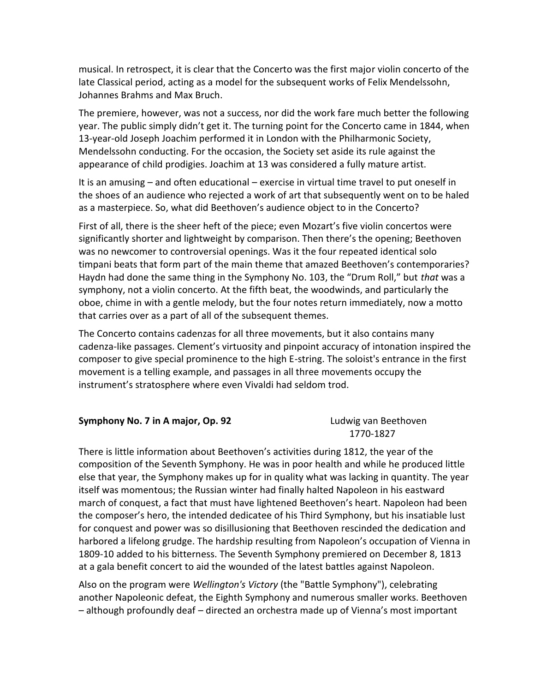musical. In retrospect, it is clear that the Concerto was the first major violin concerto of the late Classical period, acting as a model for the subsequent works of Felix Mendelssohn, Johannes Brahms and Max Bruch.

The premiere, however, was not a success, nor did the work fare much better the following year. The public simply didn't get it. The turning point for the Concerto came in 1844, when 13-year-old Joseph Joachim performed it in London with the Philharmonic Society, Mendelssohn conducting. For the occasion, the Society set aside its rule against the appearance of child prodigies. Joachim at 13 was considered a fully mature artist.

It is an amusing – and often educational – exercise in virtual time travel to put oneself in the shoes of an audience who rejected a work of art that subsequently went on to be haled as a masterpiece. So, what did Beethoven's audience object to in the Concerto?

First of all, there is the sheer heft of the piece; even Mozart's five violin concertos were significantly shorter and lightweight by comparison. Then there's the opening; Beethoven was no newcomer to controversial openings. Was it the four repeated identical solo timpani beats that form part of the main theme that amazed Beethoven's contemporaries? Haydn had done the same thing in the Symphony No. 103, the "Drum Roll," but *that* was a symphony, not a violin concerto. At the fifth beat, the woodwinds, and particularly the oboe, chime in with a gentle melody, but the four notes return immediately, now a motto that carries over as a part of all of the subsequent themes.

The Concerto contains cadenzas for all three movements, but it also contains many cadenza-like passages. Clement's virtuosity and pinpoint accuracy of intonation inspired the composer to give special prominence to the high E-string. The soloist's entrance in the first movement is a telling example, and passages in all three movements occupy the instrument's stratosphere where even Vivaldi had seldom trod.

## **Symphony No. 7 in A major, Op. 92** Ludwig van Beethoven

1770-1827

There is little information about Beethoven's activities during 1812, the year of the composition of the Seventh Symphony. He was in poor health and while he produced little else that year, the Symphony makes up for in quality what was lacking in quantity. The year itself was momentous; the Russian winter had finally halted Napoleon in his eastward march of conquest, a fact that must have lightened Beethoven's heart. Napoleon had been the composer's hero, the intended dedicatee of his Third Symphony, but his insatiable lust for conquest and power was so disillusioning that Beethoven rescinded the dedication and harbored a lifelong grudge. The hardship resulting from Napoleon's occupation of Vienna in 1809-10 added to his bitterness. The Seventh Symphony premiered on December 8, 1813 at a gala benefit concert to aid the wounded of the latest battles against Napoleon.

Also on the program were *Wellington's Victory* (the "Battle Symphony"), celebrating another Napoleonic defeat, the Eighth Symphony and numerous smaller works. Beethoven – although profoundly deaf – directed an orchestra made up of Vienna's most important